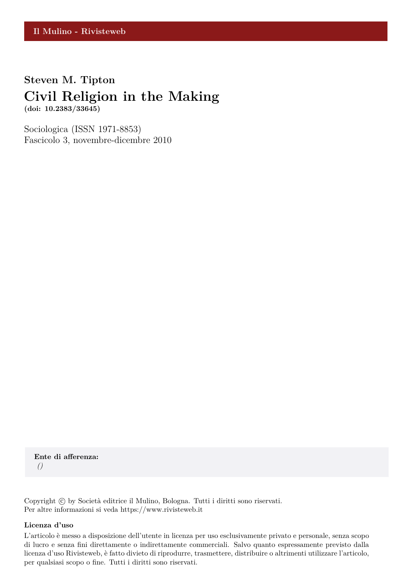## **Steven M. Tipton Civil Religion in the Making (doi: 10.2383/33645)**

Sociologica (ISSN 1971-8853) Fascicolo 3, novembre-dicembre 2010

**Ente di afferenza:** *()*

Copyright © by Società editrice il Mulino, Bologna. Tutti i diritti sono riservati. Per altre informazioni si veda https://www.rivisteweb.it

#### **Licenza d'uso**

L'articolo è messo a disposizione dell'utente in licenza per uso esclusivamente privato e personale, senza scopo di lucro e senza fini direttamente o indirettamente commerciali. Salvo quanto espressamente previsto dalla licenza d'uso Rivisteweb, è fatto divieto di riprodurre, trasmettere, distribuire o altrimenti utilizzare l'articolo, per qualsiasi scopo o fine. Tutti i diritti sono riservati.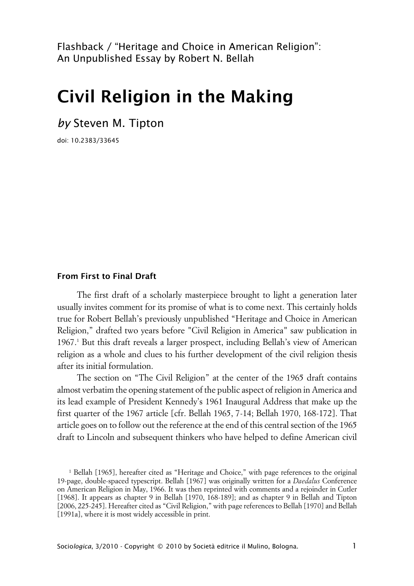Flashback / "Heritage and Choice in American Religion": An Unpublished Essay by Robert N. Bellah

# **Civil Religion in the Making**

*by* Steven M. Tipton

doi: 10.2383/33645

#### **From First to Final Draft**

The first draft of a scholarly masterpiece brought to light a generation later usually invites comment for its promise of what is to come next. This certainly holds true for Robert Bellah's previously unpublished "Heritage and Choice in American Religion," drafted two years before "Civil Religion in America" saw publication in 1967.<sup>1</sup> But this draft reveals a larger prospect, including Bellah's view of American religion as a whole and clues to his further development of the civil religion thesis after its initial formulation.

The section on "The Civil Religion" at the center of the 1965 draft contains almost verbatim the opening statement of the public aspect of religion in America and its lead example of President Kennedy's 1961 Inaugural Address that make up the first quarter of the 1967 article [cfr. Bellah 1965, 7-14; Bellah 1970, 168-172]. That article goes on to follow out the reference at the end of this central section of the 1965 draft to Lincoln and subsequent thinkers who have helped to define American civil

<sup>1</sup> Bellah [1965], hereafter cited as "Heritage and Choice," with page references to the original 19-page, double-spaced typescript. Bellah [1967] was originally written for a *Daedalus* Conference on American Religion in May, 1966. It was then reprinted with comments and a rejoinder in Cutler [1968]. It appears as chapter 9 in Bellah [1970, 168-189]; and as chapter 9 in Bellah and Tipton [2006, 225-245]. Hereafter cited as "Civil Religion," with page references to Bellah [1970] and Bellah [1991a], where it is most widely accessible in print.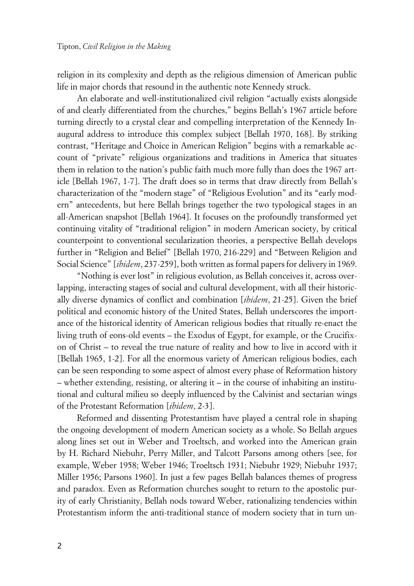religion in its complexity and depth as the religious dimension of American public life in major chords that resound in the authentic note Kennedy struck.

An elaborate and well-institutionalized civil religion "actually exists alongside of and clearly differentiated from the churches," begins Bellah's 1967 article before turning directly to a crystal clear and compelling interpretation of the Kennedy Inaugural address to introduce this complex subject [Bellah 1970, 168]. By striking contrast, "Heritage and Choice in American Religion" begins with a remarkable account of "private" religious organizations and traditions in America that situates them in relation to the nation's public faith much more fully than does the 1967 article [Bellah 1967, 1-7]. The draft does so in terms that draw directly from Bellah's characterization of the "modern stage" of "Religious Evolution" and its "early modern" antecedents, but here Bellah brings together the two typological stages in an all-American snapshot [Bellah 1964]. It focuses on the profoundly transformed yet continuing vitality of "traditional religion" in modern American society, by critical counterpoint to conventional secularization theories, a perspective Bellah develops further in "Religion and Belief" [Bellah 1970, 216-229] and "Between Religion and Social Science" [*ibidem*, 237-259], both written as formal papers for delivery in 1969.

"Nothing is ever lost" in religious evolution, as Bellah conceives it, across overlapping, interacting stages of social and cultural development, with all their historically diverse dynamics of conflict and combination [*ibidem*, 21-25]. Given the brief political and economic history of the United States, Bellah underscores the importance of the historical identity of American religious bodies that ritually re-enact the living truth of eons-old events – the Exodus of Egypt, for example, or the Crucifixon of Christ – to reveal the true nature of reality and how to live in accord with it [Bellah 1965, 1-2]. For all the enormous variety of American religious bodies, each can be seen responding to some aspect of almost every phase of Reformation history – whether extending, resisting, or altering it – in the course of inhabiting an institutional and cultural milieu so deeply influenced by the Calvinist and sectarian wings of the Protestant Reformation [*ibidem*, 2-3].

Reformed and dissenting Protestantism have played a central role in shaping the ongoing development of modern American society as a whole. So Bellah argues along lines set out in Weber and Troeltsch, and worked into the American grain by H. Richard Niebuhr, Perry Miller, and Talcott Parsons among others [see, for example, Weber 1958; Weber 1946; Troeltsch 1931; Niebuhr 1929; Niebuhr 1937; Miller 1956; Parsons 1960]. In just a few pages Bellah balances themes of progress and paradox. Even as Reformation churches sought to return to the apostolic purity of early Christianity, Bellah nods toward Weber, rationalizing tendencies within Protestantism inform the anti-traditional stance of modern society that in turn un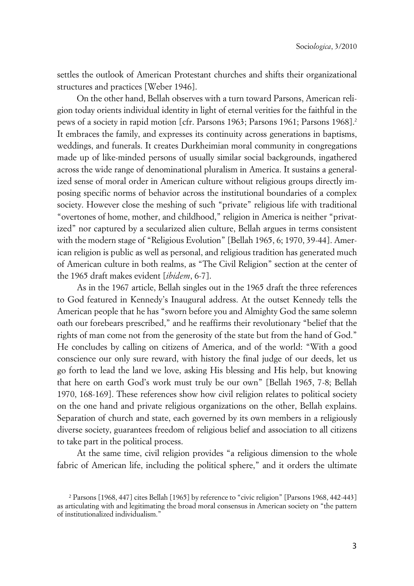settles the outlook of American Protestant churches and shifts their organizational structures and practices [Weber 1946].

On the other hand, Bellah observes with a turn toward Parsons, American religion today orients individual identity in light of eternal verities for the faithful in the pews of a society in rapid motion [cfr. Parsons 1963; Parsons 1961; Parsons 1968].<sup>2</sup> It embraces the family, and expresses its continuity across generations in baptisms, weddings, and funerals. It creates Durkheimian moral community in congregations made up of like-minded persons of usually similar social backgrounds, ingathered across the wide range of denominational pluralism in America. It sustains a generalized sense of moral order in American culture without religious groups directly imposing specific norms of behavior across the institutional boundaries of a complex society. However close the meshing of such "private" religious life with traditional "overtones of home, mother, and childhood," religion in America is neither "privatized" nor captured by a secularized alien culture, Bellah argues in terms consistent with the modern stage of "Religious Evolution" [Bellah 1965, 6; 1970, 39-44]. American religion is public as well as personal, and religious tradition has generated much of American culture in both realms, as "The Civil Religion" section at the center of the 1965 draft makes evident [*ibidem*, 6-7].

As in the 1967 article, Bellah singles out in the 1965 draft the three references to God featured in Kennedy's Inaugural address. At the outset Kennedy tells the American people that he has "sworn before you and Almighty God the same solemn oath our forebears prescribed," and he reaffirms their revolutionary "belief that the rights of man come not from the generosity of the state but from the hand of God." He concludes by calling on citizens of America, and of the world: "With a good conscience our only sure reward, with history the final judge of our deeds, let us go forth to lead the land we love, asking His blessing and His help, but knowing that here on earth God's work must truly be our own" [Bellah 1965, 7-8; Bellah 1970, 168-169]. These references show how civil religion relates to political society on the one hand and private religious organizations on the other, Bellah explains. Separation of church and state, each governed by its own members in a religiously diverse society, guarantees freedom of religious belief and association to all citizens to take part in the political process.

At the same time, civil religion provides "a religious dimension to the whole fabric of American life, including the political sphere," and it orders the ultimate

<sup>2</sup> Parsons [1968, 447] cites Bellah [1965] by reference to "civic religion" [Parsons 1968, 442-443] as articulating with and legitimating the broad moral consensus in American society on "the pattern of institutionalized individualism."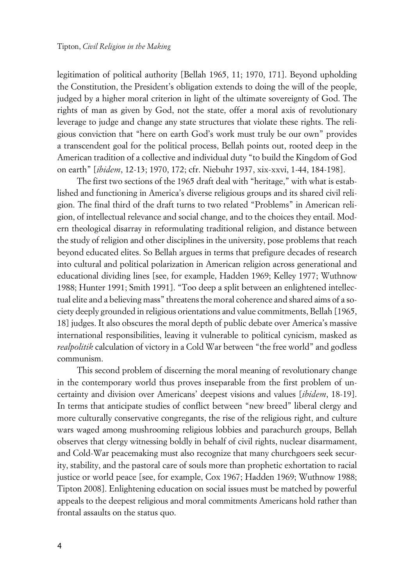legitimation of political authority [Bellah 1965, 11; 1970, 171]. Beyond upholding the Constitution, the President's obligation extends to doing the will of the people, judged by a higher moral criterion in light of the ultimate sovereignty of God. The rights of man as given by God, not the state, offer a moral axis of revolutionary leverage to judge and change any state structures that violate these rights. The religious conviction that "here on earth God's work must truly be our own" provides a transcendent goal for the political process, Bellah points out, rooted deep in the American tradition of a collective and individual duty "to build the Kingdom of God on earth" [*ibidem*, 12-13; 1970, 172; cfr. Niebuhr 1937, xix-xxvi, 1-44, 184-198].

The first two sections of the 1965 draft deal with "heritage," with what is established and functioning in America's diverse religious groups and its shared civil religion. The final third of the draft turns to two related "Problems" in American religion, of intellectual relevance and social change, and to the choices they entail. Modern theological disarray in reformulating traditional religion, and distance between the study of religion and other disciplines in the university, pose problems that reach beyond educated elites. So Bellah argues in terms that prefigure decades of research into cultural and political polarization in American religion across generational and educational dividing lines [see, for example, Hadden 1969; Kelley 1977; Wuthnow 1988; Hunter 1991; Smith 1991]. "Too deep a split between an enlightened intellectual elite and a believing mass" threatens the moral coherence and shared aims of a society deeply grounded in religious orientations and value commitments, Bellah [1965, 18] judges. It also obscures the moral depth of public debate over America's massive international responsibilities, leaving it vulnerable to political cynicism, masked as *realpolitik* calculation of victory in a Cold War between "the free world" and godless communism.

This second problem of discerning the moral meaning of revolutionary change in the contemporary world thus proves inseparable from the first problem of uncertainty and division over Americans' deepest visions and values [*ibidem*, 18-19]. In terms that anticipate studies of conflict between "new breed" liberal clergy and more culturally conservative congregants, the rise of the religious right, and culture wars waged among mushrooming religious lobbies and parachurch groups, Bellah observes that clergy witnessing boldly in behalf of civil rights, nuclear disarmament, and Cold-War peacemaking must also recognize that many churchgoers seek security, stability, and the pastoral care of souls more than prophetic exhortation to racial justice or world peace [see, for example, Cox 1967; Hadden 1969; Wuthnow 1988; Tipton 2008]. Enlightening education on social issues must be matched by powerful appeals to the deepest religious and moral commitments Americans hold rather than frontal assaults on the status quo.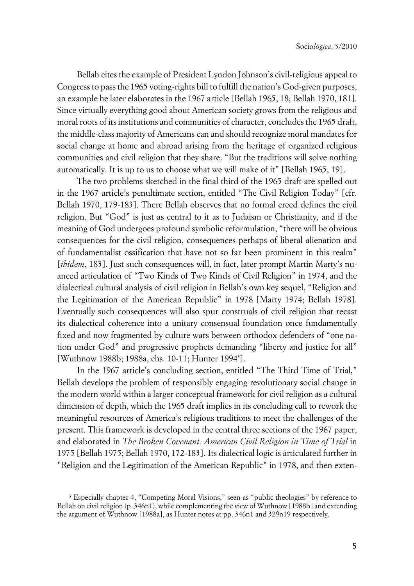Bellah cites the example of President Lyndon Johnson's civil-religious appeal to Congress to pass the 1965 voting-rights bill to fulfill the nation's God-given purposes, an example he later elaborates in the 1967 article [Bellah 1965, 18; Bellah 1970, 181]. Since virtually everything good about American society grows from the religious and moral roots of its institutions and communities of character, concludes the 1965 draft, the middle-class majority of Americans can and should recognize moral mandates for social change at home and abroad arising from the heritage of organized religious communities and civil religion that they share. "But the traditions will solve nothing automatically. It is up to us to choose what we will make of it" [Bellah 1965, 19].

The two problems sketched in the final third of the 1965 draft are spelled out in the 1967 article's penultimate section, entitled "The Civil Religion Today" [cfr. Bellah 1970, 179-183]. There Bellah observes that no formal creed defines the civil religion. But "God" is just as central to it as to Judaism or Christianity, and if the meaning of God undergoes profound symbolic reformulation, "there will be obvious consequences for the civil religion, consequences perhaps of liberal alienation and of fundamentalist ossification that have not so far been prominent in this realm" [*ibidem*, 183]. Just such consequences will, in fact, later prompt Martin Marty's nuanced articulation of "Two Kinds of Two Kinds of Civil Religion" in 1974, and the dialectical cultural analysis of civil religion in Bellah's own key sequel, "Religion and the Legitimation of the American Republic" in 1978 [Marty 1974; Bellah 1978]. Eventually such consequences will also spur construals of civil religion that recast its dialectical coherence into a unitary consensual foundation once fundamentally fixed and now fragmented by culture wars between orthodox defenders of "one nation under God" and progressive prophets demanding "liberty and justice for all" [Wuthnow 1988b; 1988a, chs. 10-11; Hunter 1994<sup>3</sup>].

In the 1967 article's concluding section, entitled "The Third Time of Trial," Bellah develops the problem of responsibly engaging revolutionary social change in the modern world within a larger conceptual framework for civil religion as a cultural dimension of depth, which the 1965 draft implies in its concluding call to rework the meaningful resources of America's religious traditions to meet the challenges of the present. This framework is developed in the central three sections of the 1967 paper, and elaborated in *The Broken Covenant: American Civil Religion in Time of Trial* in 1975 [Bellah 1975; Bellah 1970, 172-183]. Its dialectical logic is articulated further in "Religion and the Legitimation of the American Republic" in 1978, and then exten-

<sup>3</sup> Especially chapter 4, "Competing Moral Visions," seen as "public theologies" by reference to Bellah on civil religion (p. 346n1), while complementing the view of Wuthnow [1988b] and extending the argument of Wuthnow [1988a], as Hunter notes at pp. 346n1 and 329n19 respectively.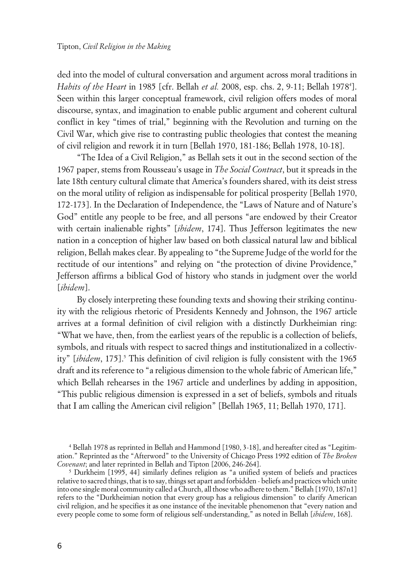ded into the model of cultural conversation and argument across moral traditions in *Habits of the Heart* in 1985 [cfr. Bellah *et al.* 2008, esp. chs. 2, 9-11; Bellah 1978<sup>4</sup>]. Seen within this larger conceptual framework, civil religion offers modes of moral discourse, syntax, and imagination to enable public argument and coherent cultural conflict in key "times of trial," beginning with the Revolution and turning on the Civil War, which give rise to contrasting public theologies that contest the meaning of civil religion and rework it in turn [Bellah 1970, 181-186; Bellah 1978, 10-18].

"The Idea of a Civil Religion," as Bellah sets it out in the second section of the 1967 paper, stems from Rousseau's usage in *The Social Contract*, but it spreads in the late 18th century cultural climate that America's founders shared, with its deist stress on the moral utility of religion as indispensable for political prosperity [Bellah 1970, 172-173]. In the Declaration of Independence, the "Laws of Nature and of Nature's God" entitle any people to be free, and all persons "are endowed by their Creator with certain inalienable rights" [*ibidem*, 174]. Thus Jefferson legitimates the new nation in a conception of higher law based on both classical natural law and biblical religion, Bellah makes clear. By appealing to "the Supreme Judge of the world for the rectitude of our intentions" and relying on "the protection of divine Providence," Jefferson affirms a biblical God of history who stands in judgment over the world [*ibidem*].

By closely interpreting these founding texts and showing their striking continuity with the religious rhetoric of Presidents Kennedy and Johnson, the 1967 article arrives at a formal definition of civil religion with a distinctly Durkheimian ring: "What we have, then, from the earliest years of the republic is a collection of beliefs, symbols, and rituals with respect to sacred things and institutionalized in a collectivity" [*ibidem*, 175].<sup>5</sup> This definition of civil religion is fully consistent with the 1965 draft and its reference to "a religious dimension to the whole fabric of American life," which Bellah rehearses in the 1967 article and underlines by adding in apposition, "This public religious dimension is expressed in a set of beliefs, symbols and rituals that I am calling the American civil religion" [Bellah 1965, 11; Bellah 1970, 171].

4 Bellah 1978 as reprinted in Bellah and Hammond [1980, 3-18], and hereafter cited as "Legitimation." Reprinted as the "Afterword" to the University of Chicago Press 1992 edition of *The Broken Covenant*; and later reprinted in Bellah and Tipton [2006, 246-264].

5 Durkheim [1995, 44] similarly defines religion as "a unified system of beliefs and practices relative to sacred things, that is to say, things set apart and forbidden - beliefs and practices which unite into one single moral community called a Church, all those who adhere to them." Bellah [1970, 187n1] refers to the "Durkheimian notion that every group has a religious dimension" to clarify American civil religion, and he specifies it as one instance of the inevitable phenomenon that "every nation and every people come to some form of religious self-understanding," as noted in Bellah [*ibidem*, 168].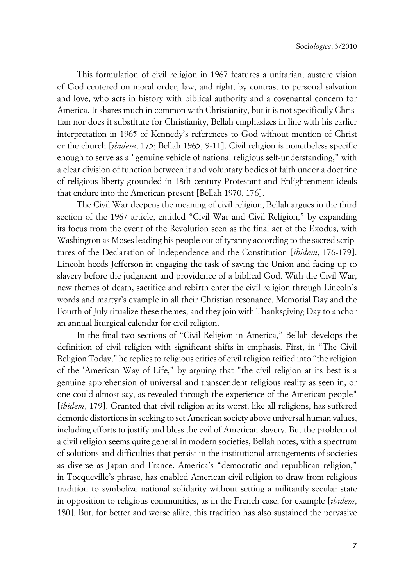This formulation of civil religion in 1967 features a unitarian, austere vision of God centered on moral order, law, and right, by contrast to personal salvation and love, who acts in history with biblical authority and a covenantal concern for America. It shares much in common with Christianity, but it is not specifically Christian nor does it substitute for Christianity, Bellah emphasizes in line with his earlier interpretation in 1965 of Kennedy's references to God without mention of Christ or the church [*ibidem*, 175; Bellah 1965, 9-11]. Civil religion is nonetheless specific enough to serve as a "genuine vehicle of national religious self-understanding," with a clear division of function between it and voluntary bodies of faith under a doctrine of religious liberty grounded in 18th century Protestant and Enlightenment ideals that endure into the American present [Bellah 1970, 176].

The Civil War deepens the meaning of civil religion, Bellah argues in the third section of the 1967 article, entitled "Civil War and Civil Religion," by expanding its focus from the event of the Revolution seen as the final act of the Exodus, with Washington as Moses leading his people out of tyranny according to the sacred scriptures of the Declaration of Independence and the Constitution [*ibidem*, 176-179]. Lincoln heeds Jefferson in engaging the task of saving the Union and facing up to slavery before the judgment and providence of a biblical God. With the Civil War, new themes of death, sacrifice and rebirth enter the civil religion through Lincoln's words and martyr's example in all their Christian resonance. Memorial Day and the Fourth of July ritualize these themes, and they join with Thanksgiving Day to anchor an annual liturgical calendar for civil religion.

In the final two sections of "Civil Religion in America," Bellah develops the definition of civil religion with significant shifts in emphasis. First, in "The Civil Religion Today," he replies to religious critics of civil religion reified into "the religion of the 'American Way of Life," by arguing that "the civil religion at its best is a genuine apprehension of universal and transcendent religious reality as seen in, or one could almost say, as revealed through the experience of the American people" [*ibidem*, 179]. Granted that civil religion at its worst, like all religions, has suffered demonic distortions in seeking to set American society above universal human values, including efforts to justify and bless the evil of American slavery. But the problem of a civil religion seems quite general in modern societies, Bellah notes, with a spectrum of solutions and difficulties that persist in the institutional arrangements of societies as diverse as Japan and France. America's "democratic and republican religion," in Tocqueville's phrase, has enabled American civil religion to draw from religious tradition to symbolize national solidarity without setting a militantly secular state in opposition to religious communities, as in the French case, for example [*ibidem*, 180]. But, for better and worse alike, this tradition has also sustained the pervasive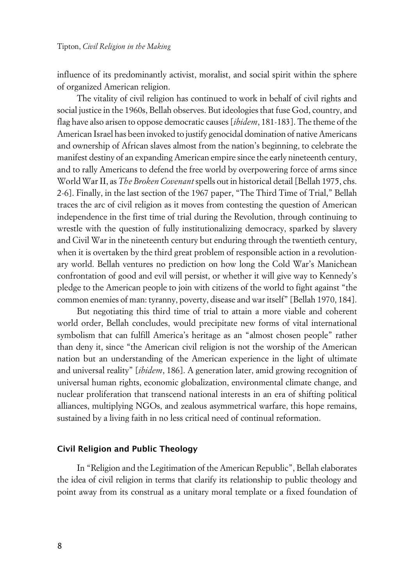influence of its predominantly activist, moralist, and social spirit within the sphere of organized American religion.

The vitality of civil religion has continued to work in behalf of civil rights and social justice in the 1960s, Bellah observes. But ideologies that fuse God, country, and flag have also arisen to oppose democratic causes [*ibidem*, 181-183]. The theme of the American Israel has been invoked to justify genocidal domination of native Americans and ownership of African slaves almost from the nation's beginning, to celebrate the manifest destiny of an expanding American empire since the early nineteenth century, and to rally Americans to defend the free world by overpowering force of arms since World War II, as *The Broken Covenant* spells out in historical detail [Bellah 1975, chs. 2-6]. Finally, in the last section of the 1967 paper, "The Third Time of Trial," Bellah traces the arc of civil religion as it moves from contesting the question of American independence in the first time of trial during the Revolution, through continuing to wrestle with the question of fully institutionalizing democracy, sparked by slavery and Civil War in the nineteenth century but enduring through the twentieth century, when it is overtaken by the third great problem of responsible action in a revolutionary world. Bellah ventures no prediction on how long the Cold War's Manichean confrontation of good and evil will persist, or whether it will give way to Kennedy's pledge to the American people to join with citizens of the world to fight against "the common enemies of man: tyranny, poverty, disease and war itself" [Bellah 1970, 184].

But negotiating this third time of trial to attain a more viable and coherent world order, Bellah concludes, would precipitate new forms of vital international symbolism that can fulfill America's heritage as an "almost chosen people" rather than deny it, since "the American civil religion is not the worship of the American nation but an understanding of the American experience in the light of ultimate and universal reality" [*ibidem*, 186]. A generation later, amid growing recognition of universal human rights, economic globalization, environmental climate change, and nuclear proliferation that transcend national interests in an era of shifting political alliances, multiplying NGOs, and zealous asymmetrical warfare, this hope remains, sustained by a living faith in no less critical need of continual reformation.

#### **xCivil Religion and Public Theology**

In "Religion and the Legitimation of the American Republic", Bellah elaborates the idea of civil religion in terms that clarify its relationship to public theology and point away from its construal as a unitary moral template or a fixed foundation of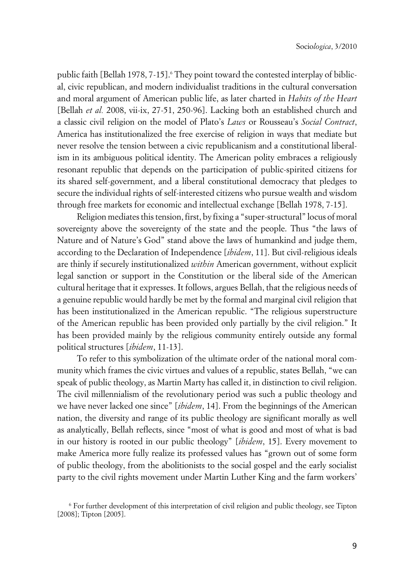public faith [Bellah 1978, 7-15]. They point toward the contested interplay of biblical, civic republican, and modern individualist traditions in the cultural conversation and moral argument of American public life, as later charted in *Habits of the Heart* [Bellah *et al.* 2008, vii-ix, 27-51, 250-96]. Lacking both an established church and a classic civil religion on the model of Plato's *Laws* or Rousseau's *Social Contract*, America has institutionalized the free exercise of religion in ways that mediate but never resolve the tension between a civic republicanism and a constitutional liberalism in its ambiguous political identity. The American polity embraces a religiously resonant republic that depends on the participation of public-spirited citizens for its shared self-government, and a liberal constitutional democracy that pledges to secure the individual rights of self-interested citizens who pursue wealth and wisdom through free markets for economic and intellectual exchange [Bellah 1978, 7-15].

Religion mediates this tension, first, by fixing a "super-structural" locus of moral sovereignty above the sovereignty of the state and the people. Thus "the laws of Nature and of Nature's God" stand above the laws of humankind and judge them, according to the Declaration of Independence [*ibidem*, 11]. But civil-religious ideals are thinly if securely institutionalized *within* American government, without explicit legal sanction or support in the Constitution or the liberal side of the American cultural heritage that it expresses. It follows, argues Bellah, that the religious needs of a genuine republic would hardly be met by the formal and marginal civil religion that has been institutionalized in the American republic. "The religious superstructure of the American republic has been provided only partially by the civil religion." It has been provided mainly by the religious community entirely outside any formal political structures [*ibidem*, 11-13].

To refer to this symbolization of the ultimate order of the national moral community which frames the civic virtues and values of a republic, states Bellah, "we can speak of public theology, as Martin Marty has called it, in distinction to civil religion. The civil millennialism of the revolutionary period was such a public theology and we have never lacked one since" [*ibidem*, 14]. From the beginnings of the American nation, the diversity and range of its public theology are significant morally as well as analytically, Bellah reflects, since "most of what is good and most of what is bad in our history is rooted in our public theology" [*ibidem*, 15]. Every movement to make America more fully realize its professed values has "grown out of some form of public theology, from the abolitionists to the social gospel and the early socialist party to the civil rights movement under Martin Luther King and the farm workers'

<sup>6</sup> For further development of this interpretation of civil religion and public theology, see Tipton [2008]; Tipton [2005].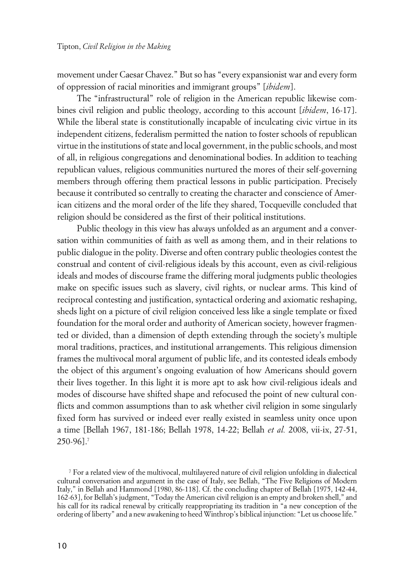movement under Caesar Chavez." But so has "every expansionist war and every form of oppression of racial minorities and immigrant groups" [*ibidem*].

The "infrastructural" role of religion in the American republic likewise combines civil religion and public theology, according to this account [*ibidem*, 16-17]. While the liberal state is constitutionally incapable of inculcating civic virtue in its independent citizens, federalism permitted the nation to foster schools of republican virtue in the institutions of state and local government, in the public schools, and most of all, in religious congregations and denominational bodies. In addition to teaching republican values, religious communities nurtured the mores of their self-governing members through offering them practical lessons in public participation. Precisely because it contributed so centrally to creating the character and conscience of American citizens and the moral order of the life they shared, Tocqueville concluded that religion should be considered as the first of their political institutions.

Public theology in this view has always unfolded as an argument and a conversation within communities of faith as well as among them, and in their relations to public dialogue in the polity. Diverse and often contrary public theologies contest the construal and content of civil-religious ideals by this account, even as civil-religious ideals and modes of discourse frame the differing moral judgments public theologies make on specific issues such as slavery, civil rights, or nuclear arms. This kind of reciprocal contesting and justification, syntactical ordering and axiomatic reshaping, sheds light on a picture of civil religion conceived less like a single template or fixed foundation for the moral order and authority of American society, however fragmented or divided, than a dimension of depth extending through the society's multiple moral traditions, practices, and institutional arrangements. This religious dimension frames the multivocal moral argument of public life, and its contested ideals embody the object of this argument's ongoing evaluation of how Americans should govern their lives together. In this light it is more apt to ask how civil-religious ideals and modes of discourse have shifted shape and refocused the point of new cultural conflicts and common assumptions than to ask whether civil religion in some singularly fixed form has survived or indeed ever really existed in seamless unity once upon a time [Bellah 1967, 181-186; Bellah 1978, 14-22; Bellah *et al.* 2008, vii-ix, 27-51, 250-96].<sup>7</sup>

<sup>7</sup> For a related view of the multivocal, multilayered nature of civil religion unfolding in dialectical cultural conversation and argument in the case of Italy, see Bellah, "The Five Religions of Modern Italy," in Bellah and Hammond [1980, 86-118]. Cf. the concluding chapter of Bellah [1975, 142-44, 162-63], for Bellah's judgment, "Today the American civil religion is an empty and broken shell," and his call for its radical renewal by critically reappropriating its tradition in "a new conception of the ordering of liberty" and a new awakening to heed Winthrop's biblical injunction: "Let us choose life."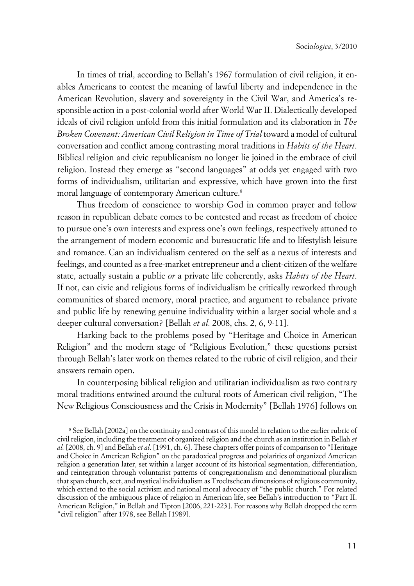In times of trial, according to Bellah's 1967 formulation of civil religion, it enables Americans to contest the meaning of lawful liberty and independence in the American Revolution, slavery and sovereignty in the Civil War, and America's responsible action in a post-colonial world after World War II. Dialectically developed ideals of civil religion unfold from this initial formulation and its elaboration in *The Broken Covenant: American Civil Religion in Time of Trial* toward a model of cultural conversation and conflict among contrasting moral traditions in *Habits of the Heart*. Biblical religion and civic republicanism no longer lie joined in the embrace of civil religion. Instead they emerge as "second languages" at odds yet engaged with two forms of individualism, utilitarian and expressive, which have grown into the first moral language of contemporary American culture.<sup>8</sup>

Thus freedom of conscience to worship God in common prayer and follow reason in republican debate comes to be contested and recast as freedom of choice to pursue one's own interests and express one's own feelings, respectively attuned to the arrangement of modern economic and bureaucratic life and to lifestylish leisure and romance. Can an individualism centered on the self as a nexus of interests and feelings, and counted as a free-market entrepreneur and a client-citizen of the welfare state, actually sustain a public *or* a private life coherently, asks *Habits of the Heart*. If not, can civic and religious forms of individualism be critically reworked through communities of shared memory, moral practice, and argument to rebalance private and public life by renewing genuine individuality within a larger social whole and a deeper cultural conversation? [Bellah *et al.* 2008, chs. 2, 6, 9-11].

Harking back to the problems posed by "Heritage and Choice in American Religion" and the modern stage of "Religious Evolution," these questions persist through Bellah's later work on themes related to the rubric of civil religion, and their answers remain open.

In counterposing biblical religion and utilitarian individualism as two contrary moral traditions entwined around the cultural roots of American civil religion, "The New Religious Consciousness and the Crisis in Modernity" [Bellah 1976] follows on

<sup>8</sup> See Bellah [2002a] on the continuity and contrast of this model in relation to the earlier rubric of civil religion, including the treatment of organized religion and the church as an institution in Bellah *et al.* [2008, ch. 9] and Bellah *et al*. [1991, ch. 6]. These chapters offer points of comparison to "Heritage and Choice in American Religion" on the paradoxical progress and polarities of organized American religion a generation later, set within a larger account of its historical segmentation, differentiation, and reintegration through voluntarist patterns of congregationalism and denominational pluralism that span church, sect, and mystical individualism as Troeltschean dimensions of religious community, which extend to the social activism and national moral advocacy of "the public church." For related discussion of the ambiguous place of religion in American life, see Bellah's introduction to "Part II. American Religion," in Bellah and Tipton [2006, 221-223]. For reasons why Bellah dropped the term "civil religion" after 1978, see Bellah [1989].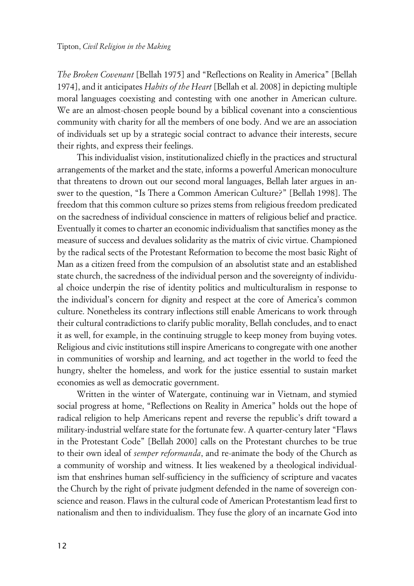*The Broken Covenant* [Bellah 1975] and "Reflections on Reality in America" [Bellah 1974], and it anticipates *Habits of the Heart* [Bellah et al. 2008] in depicting multiple moral languages coexisting and contesting with one another in American culture. We are an almost-chosen people bound by a biblical covenant into a conscientious community with charity for all the members of one body. And we are an association of individuals set up by a strategic social contract to advance their interests, secure their rights, and express their feelings.

This individualist vision, institutionalized chiefly in the practices and structural arrangements of the market and the state, informs a powerful American monoculture that threatens to drown out our second moral languages, Bellah later argues in answer to the question, "Is There a Common American Culture?" [Bellah 1998]. The freedom that this common culture so prizes stems from religious freedom predicated on the sacredness of individual conscience in matters of religious belief and practice. Eventually it comes to charter an economic individualism that sanctifies money as the measure of success and devalues solidarity as the matrix of civic virtue. Championed by the radical sects of the Protestant Reformation to become the most basic Right of Man as a citizen freed from the compulsion of an absolutist state and an established state church, the sacredness of the individual person and the sovereignty of individual choice underpin the rise of identity politics and multiculturalism in response to the individual's concern for dignity and respect at the core of America's common culture. Nonetheless its contrary inflections still enable Americans to work through their cultural contradictions to clarify public morality, Bellah concludes, and to enact it as well, for example, in the continuing struggle to keep money from buying votes. Religious and civic institutions still inspire Americans to congregate with one another in communities of worship and learning, and act together in the world to feed the hungry, shelter the homeless, and work for the justice essential to sustain market economies as well as democratic government.

Written in the winter of Watergate, continuing war in Vietnam, and stymied social progress at home, "Reflections on Reality in America" holds out the hope of radical religion to help Americans repent and reverse the republic's drift toward a military-industrial welfare state for the fortunate few. A quarter-century later "Flaws in the Protestant Code" [Bellah 2000] calls on the Protestant churches to be true to their own ideal of *semper reformanda*, and re-animate the body of the Church as a community of worship and witness. It lies weakened by a theological individualism that enshrines human self-sufficiency in the sufficiency of scripture and vacates the Church by the right of private judgment defended in the name of sovereign conscience and reason. Flaws in the cultural code of American Protestantism lead first to nationalism and then to individualism. They fuse the glory of an incarnate God into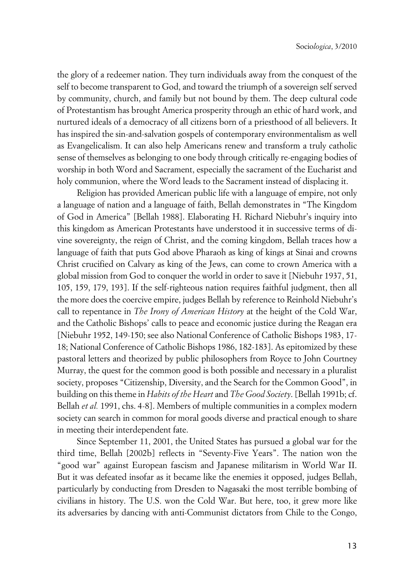the glory of a redeemer nation. They turn individuals away from the conquest of the self to become transparent to God, and toward the triumph of a sovereign self served by community, church, and family but not bound by them. The deep cultural code of Protestantism has brought America prosperity through an ethic of hard work, and nurtured ideals of a democracy of all citizens born of a priesthood of all believers. It has inspired the sin-and-salvation gospels of contemporary environmentalism as well as Evangelicalism. It can also help Americans renew and transform a truly catholic sense of themselves as belonging to one body through critically re-engaging bodies of worship in both Word and Sacrament, especially the sacrament of the Eucharist and holy communion, where the Word leads to the Sacrament instead of displacing it.

Religion has provided American public life with a language of empire, not only a language of nation and a language of faith, Bellah demonstrates in "The Kingdom of God in America" [Bellah 1988]. Elaborating H. Richard Niebuhr's inquiry into this kingdom as American Protestants have understood it in successive terms of divine sovereignty, the reign of Christ, and the coming kingdom, Bellah traces how a language of faith that puts God above Pharaoh as king of kings at Sinai and crowns Christ crucified on Calvary as king of the Jews, can come to crown America with a global mission from God to conquer the world in order to save it [Niebuhr 1937, 51, 105, 159, 179, 193]. If the self-righteous nation requires faithful judgment, then all the more does the coercive empire, judges Bellah by reference to Reinhold Niebuhr's call to repentance in *The Irony of American History* at the height of the Cold War, and the Catholic Bishops' calls to peace and economic justice during the Reagan era [Niebuhr 1952, 149-150; see also National Conference of Catholic Bishops 1983, 17- 18; National Conference of Catholic Bishops 1986, 182-183]. As epitomized by these pastoral letters and theorized by public philosophers from Royce to John Courtney Murray, the quest for the common good is both possible and necessary in a pluralist society, proposes "Citizenship, Diversity, and the Search for the Common Good", in building on this theme in *Habits of the Heart* and *The Good Society*. [Bellah 1991b; cf. Bellah *et al.* 1991, chs. 4-8]. Members of multiple communities in a complex modern society can search in common for moral goods diverse and practical enough to share in meeting their interdependent fate.

Since September 11, 2001, the United States has pursued a global war for the third time, Bellah [2002b] reflects in "Seventy-Five Years". The nation won the "good war" against European fascism and Japanese militarism in World War II. But it was defeated insofar as it became like the enemies it opposed, judges Bellah, particularly by conducting from Dresden to Nagasaki the most terrible bombing of civilians in history. The U.S. won the Cold War. But here, too, it grew more like its adversaries by dancing with anti-Communist dictators from Chile to the Congo,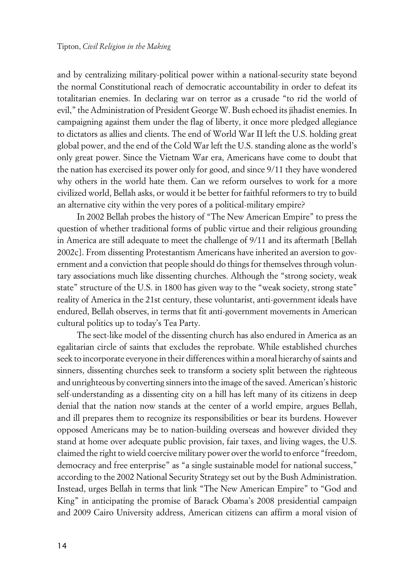and by centralizing military-political power within a national-security state beyond the normal Constitutional reach of democratic accountability in order to defeat its totalitarian enemies. In declaring war on terror as a crusade "to rid the world of evil," the Administration of President George W. Bush echoed its jihadist enemies. In campaigning against them under the flag of liberty, it once more pledged allegiance to dictators as allies and clients. The end of World War II left the U.S. holding great global power, and the end of the Cold War left the U.S. standing alone as the world's only great power. Since the Vietnam War era, Americans have come to doubt that the nation has exercised its power only for good, and since 9/11 they have wondered why others in the world hate them. Can we reform ourselves to work for a more civilized world, Bellah asks, or would it be better for faithful reformers to try to build an alternative city within the very pores of a political-military empire?

In 2002 Bellah probes the history of "The New American Empire" to press the question of whether traditional forms of public virtue and their religious grounding in America are still adequate to meet the challenge of 9/11 and its aftermath [Bellah 2002c]. From dissenting Protestantism Americans have inherited an aversion to government and a conviction that people should do things for themselves through voluntary associations much like dissenting churches. Although the "strong society, weak state" structure of the U.S. in 1800 has given way to the "weak society, strong state" reality of America in the 21st century, these voluntarist, anti-government ideals have endured, Bellah observes, in terms that fit anti-government movements in American cultural politics up to today's Tea Party.

The sect-like model of the dissenting church has also endured in America as an egalitarian circle of saints that excludes the reprobate. While established churches seek to incorporate everyone in their differences within a moral hierarchy of saints and sinners, dissenting churches seek to transform a society split between the righteous and unrighteous by converting sinners into the image of the saved. American's historic self-understanding as a dissenting city on a hill has left many of its citizens in deep denial that the nation now stands at the center of a world empire, argues Bellah, and ill prepares them to recognize its responsibilities or bear its burdens. However opposed Americans may be to nation-building overseas and however divided they stand at home over adequate public provision, fair taxes, and living wages, the U.S. claimed the right to wield coercive military power over the world to enforce "freedom, democracy and free enterprise" as "a single sustainable model for national success," according to the 2002 National Security Strategy set out by the Bush Administration. Instead, urges Bellah in terms that link "The New American Empire" to "God and King" in anticipating the promise of Barack Obama's 2008 presidential campaign and 2009 Cairo University address, American citizens can affirm a moral vision of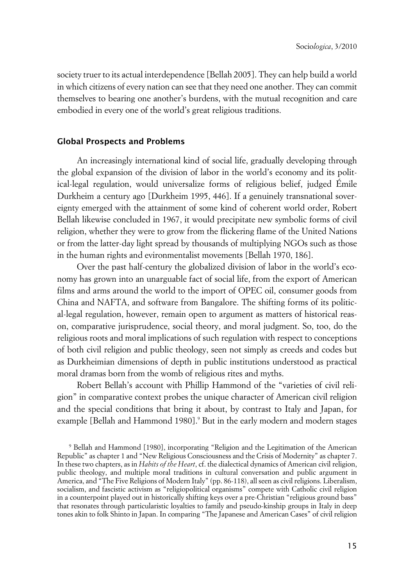society truer to its actual interdependence [Bellah 2005]. They can help build a world in which citizens of every nation can see that they need one another. They can commit themselves to bearing one another's burdens, with the mutual recognition and care embodied in every one of the world's great religious traditions.

#### **xGlobal Prospects and Problems**

An increasingly international kind of social life, gradually developing through the global expansion of the division of labor in the world's economy and its political-legal regulation, would universalize forms of religious belief, judged Émile Durkheim a century ago [Durkheim 1995, 446]. If a genuinely transnational sovereignty emerged with the attainment of some kind of coherent world order, Robert Bellah likewise concluded in 1967, it would precipitate new symbolic forms of civil religion, whether they were to grow from the flickering flame of the United Nations or from the latter-day light spread by thousands of multiplying NGOs such as those in the human rights and evironmentalist movements [Bellah 1970, 186].

Over the past half-century the globalized division of labor in the world's economy has grown into an unarguable fact of social life, from the export of American films and arms around the world to the import of OPEC oil, consumer goods from China and NAFTA, and software from Bangalore. The shifting forms of its political-legal regulation, however, remain open to argument as matters of historical reason, comparative jurisprudence, social theory, and moral judgment. So, too, do the religious roots and moral implications of such regulation with respect to conceptions of both civil religion and public theology, seen not simply as creeds and codes but as Durkheimian dimensions of depth in public institutions understood as practical moral dramas born from the womb of religious rites and myths.

Robert Bellah's account with Phillip Hammond of the "varieties of civil religion" in comparative context probes the unique character of American civil religion and the special conditions that bring it about, by contrast to Italy and Japan, for example [Bellah and Hammond 1980].° But in the early modern and modern stages

<sup>9</sup> Bellah and Hammond [1980], incorporating "Religion and the Legitimation of the American Republic" as chapter 1 and "New Religious Consciousness and the Crisis of Modernity" as chapter 7. In these two chapters, as in *Habits of the Heart*, cf. the dialectical dynamics of American civil religion, public theology, and multiple moral traditions in cultural conversation and public argument in America, and "The Five Religions of Modern Italy" (pp. 86-118), all seen as civil religions. Liberalism, socialism, and fascistic activism as "religiopolitical organisms" compete with Catholic civil religion in a counterpoint played out in historically shifting keys over a pre-Christian "religious ground bass" that resonates through particularistic loyalties to family and pseudo-kinship groups in Italy in deep tones akin to folk Shinto in Japan. In comparing "The Japanese and American Cases" of civil religion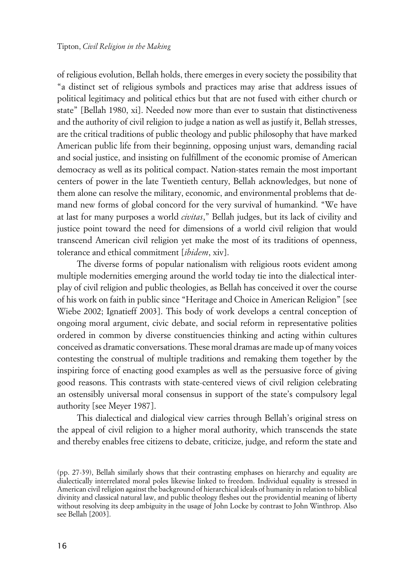of religious evolution, Bellah holds, there emerges in every society the possibility that "a distinct set of religious symbols and practices may arise that address issues of political legitimacy and political ethics but that are not fused with either church or state" [Bellah 1980, xi]. Needed now more than ever to sustain that distinctiveness and the authority of civil religion to judge a nation as well as justify it, Bellah stresses, are the critical traditions of public theology and public philosophy that have marked American public life from their beginning, opposing unjust wars, demanding racial and social justice, and insisting on fulfillment of the economic promise of American democracy as well as its political compact. Nation-states remain the most important centers of power in the late Twentieth century, Bellah acknowledges, but none of them alone can resolve the military, economic, and environmental problems that demand new forms of global concord for the very survival of humankind. "We have at last for many purposes a world *civitas*," Bellah judges, but its lack of civility and justice point toward the need for dimensions of a world civil religion that would transcend American civil religion yet make the most of its traditions of openness, tolerance and ethical commitment [*ibidem*, xiv].

The diverse forms of popular nationalism with religious roots evident among multiple modernities emerging around the world today tie into the dialectical interplay of civil religion and public theologies, as Bellah has conceived it over the course of his work on faith in public since "Heritage and Choice in American Religion" [see Wiebe 2002; Ignatieff 2003]. This body of work develops a central conception of ongoing moral argument, civic debate, and social reform in representative polities ordered in common by diverse constituencies thinking and acting within cultures conceived as dramatic conversations. These moral dramas are made up of many voices contesting the construal of multiple traditions and remaking them together by the inspiring force of enacting good examples as well as the persuasive force of giving good reasons. This contrasts with state-centered views of civil religion celebrating an ostensibly universal moral consensus in support of the state's compulsory legal authority [see Meyer 1987].

This dialectical and dialogical view carries through Bellah's original stress on the appeal of civil religion to a higher moral authority, which transcends the state and thereby enables free citizens to debate, criticize, judge, and reform the state and

<sup>(</sup>pp. 27-39), Bellah similarly shows that their contrasting emphases on hierarchy and equality are dialectically interrelated moral poles likewise linked to freedom. Individual equality is stressed in American civil religion against the background of hierarchical ideals of humanity in relation to biblical divinity and classical natural law, and public theology fleshes out the providential meaning of liberty without resolving its deep ambiguity in the usage of John Locke by contrast to John Winthrop. Also see Bellah [2003].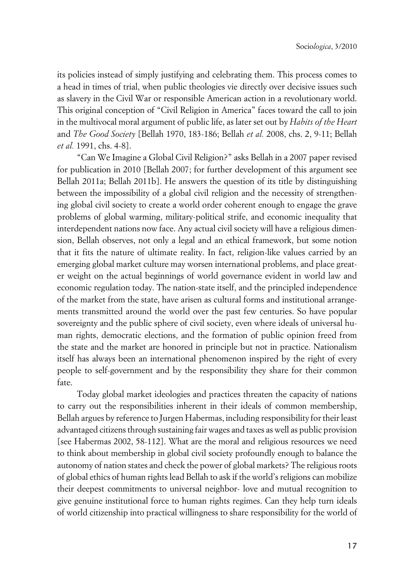its policies instead of simply justifying and celebrating them. This process comes to a head in times of trial, when public theologies vie directly over decisive issues such as slavery in the Civil War or responsible American action in a revolutionary world. This original conception of "Civil Religion in America" faces toward the call to join in the multivocal moral argument of public life, as later set out by *Habits of the Heart* and *The Good Society* [Bellah 1970, 183-186; Bellah *et al.* 2008, chs. 2, 9-11; Bellah *et al.* 1991, chs. 4-8].

"Can We Imagine a Global Civil Religion?" asks Bellah in a 2007 paper revised for publication in 2010 [Bellah 2007; for further development of this argument see Bellah 2011a; Bellah 2011b]. He answers the question of its title by distinguishing between the impossibility of a global civil religion and the necessity of strengthening global civil society to create a world order coherent enough to engage the grave problems of global warming, military-political strife, and economic inequality that interdependent nations now face. Any actual civil society will have a religious dimension, Bellah observes, not only a legal and an ethical framework, but some notion that it fits the nature of ultimate reality. In fact, religion-like values carried by an emerging global market culture may worsen international problems, and place greater weight on the actual beginnings of world governance evident in world law and economic regulation today. The nation-state itself, and the principled independence of the market from the state, have arisen as cultural forms and institutional arrangements transmitted around the world over the past few centuries. So have popular sovereignty and the public sphere of civil society, even where ideals of universal human rights, democratic elections, and the formation of public opinion freed from the state and the market are honored in principle but not in practice. Nationalism itself has always been an international phenomenon inspired by the right of every people to self-government and by the responsibility they share for their common fate.

Today global market ideologies and practices threaten the capacity of nations to carry out the responsibilities inherent in their ideals of common membership, Bellah argues by reference to Jurgen Habermas, including responsibility for their least advantaged citizens through sustaining fair wages and taxes as well as public provision [see Habermas 2002, 58-112]. What are the moral and religious resources we need to think about membership in global civil society profoundly enough to balance the autonomy of nation states and check the power of global markets? The religious roots of global ethics of human rights lead Bellah to ask if the world's religions can mobilize their deepest commitments to universal neighbor- love and mutual recognition to give genuine institutional force to human rights regimes. Can they help turn ideals of world citizenship into practical willingness to share responsibility for the world of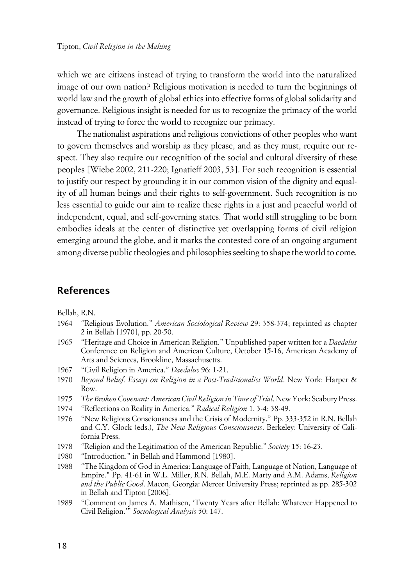which we are citizens instead of trying to transform the world into the naturalized image of our own nation? Religious motivation is needed to turn the beginnings of world law and the growth of global ethics into effective forms of global solidarity and governance. Religious insight is needed for us to recognize the primacy of the world instead of trying to force the world to recognize our primacy.

The nationalist aspirations and religious convictions of other peoples who want to govern themselves and worship as they please, and as they must, require our respect. They also require our recognition of the social and cultural diversity of these peoples [Wiebe 2002, 211-220; Ignatieff 2003, 53]. For such recognition is essential to justify our respect by grounding it in our common vision of the dignity and equality of all human beings and their rights to self-government. Such recognition is no less essential to guide our aim to realize these rights in a just and peaceful world of independent, equal, and self-governing states. That world still struggling to be born embodies ideals at the center of distinctive yet overlapping forms of civil religion emerging around the globe, and it marks the contested core of an ongoing argument among diverse public theologies and philosophies seeking to shape the world to come.

### **References**

Bellah, R.N.

- 1964 "Religious Evolution." *American Sociological Review* 29: 358-374; reprinted as chapter 2 in Bellah [1970], pp. 20-50.
- 1965 "Heritage and Choice in American Religion." Unpublished paper written for a *Daedalus* Conference on Religion and American Culture, October 15-16, American Academy of Arts and Sciences, Brookline, Massachusetts.
- 1967 "Civil Religion in America." *Daedalus* 96: 1-21.
- 1970 *Beyond Belief. Essays on Religion in a Post-Traditionalist World*. New York: Harper & Row.
- 1975 *The Broken Covenant: American Civil Religion in Time of Trial*. New York: Seabury Press.
- 1974 "Reflections on Reality in America." *Radical Religion* 1, 3-4: 38-49.
- 1976 "New Religious Consciousness and the Crisis of Modernity." Pp. 333-352 in R.N. Bellah and C.Y. Glock (eds.), *The New Religious Consciousness*. Berkeley: University of California Press.
- 1978 "Religion and the Legitimation of the American Republic." *Society* 15: 16-23.
- 1980 "Introduction." in Bellah and Hammond [1980].
- 1988 "The Kingdom of God in America: Language of Faith, Language of Nation, Language of Empire." Pp. 41-61 in W.L. Miller, R.N. Bellah, M.E. Marty and A.M. Adams, *Religion and the Public Good*. Macon, Georgia: Mercer University Press; reprinted as pp. 285-302 in Bellah and Tipton [2006].
- 1989 "Comment on James A. Mathisen, 'Twenty Years after Bellah: Whatever Happened to Civil Religion.'" *Sociological Analysis* 50: 147.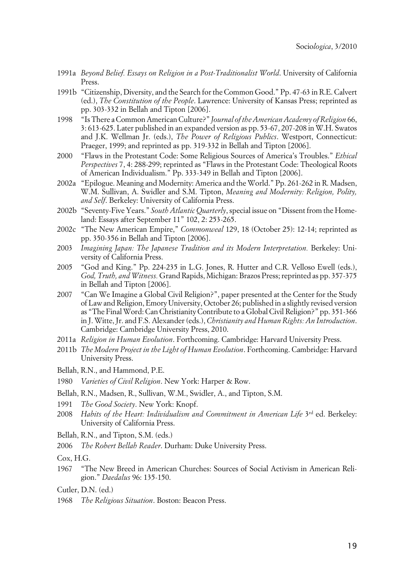- 1991a *Beyond Belief. Essays on Religion in a Post-Traditionalist World*. University of California Press.
- 1991b "Citizenship, Diversity, and the Search for the Common Good." Pp. 47-63 in R.E. Calvert (ed.), *The Constitution of the People*. Lawrence: University of Kansas Press; reprinted as pp. 303-332 in Bellah and Tipton [2006].
- 1998 "Is There a Common American Culture?" *Journal of the American Academy of Religion* 66, 3: 613-625. Later published in an expanded version as pp. 53-67, 207-208 in W.H. Swatos and J.K. Wellman Jr. (eds.), *The Power of Religious Publics*. Westport, Connecticut: Praeger, 1999; and reprinted as pp. 319-332 in Bellah and Tipton [2006].
- 2000 "Flaws in the Protestant Code: Some Religious Sources of America's Troubles." *Ethical Perspectives* 7, 4: 288-299; reprinted as "Flaws in the Protestant Code: Theological Roots of American Individualism." Pp. 333-349 in Bellah and Tipton [2006].
- 2002a "Epilogue. Meaning and Modernity: America and the World." Pp. 261-262 in R. Madsen, W.M. Sullivan, A. Swidler and S.M. Tipton, *Meaning and Modernity: Religion, Polity, and Self*. Berkeley: University of California Press.
- 2002b "Seventy-Five Years." *South Atlantic Quarterly*, special issue on "Dissent from the Homeland: Essays after September 11" 102, 2: 253-265.
- 2002c "The New American Empire," *Commonweal* 129, 18 (October 25): 12-14; reprinted as pp. 350-356 in Bellah and Tipton [2006].
- 2003 *Imagining Japan: The Japanese Tradition and its Modern Interpretation.* Berkeley: University of California Press.
- 2005 "God and King." Pp. 224-235 in L.G. Jones, R. Hutter and C.R. Velloso Ewell (eds.), *God, Truth, and Witness.* Grand Rapids, Michigan: Brazos Press; reprinted as pp. 357-375 in Bellah and Tipton [2006].
- 2007 "Can We Imagine a Global Civil Religion?", paper presented at the Center for the Study of Law and Religion, Emory University, October 26; published in a slightly revised version as "The Final Word: Can Christianity Contribute to a Global Civil Religion?" pp. 351-366 in J. Witte, Jr. and F.S. Alexander (eds.), *Christianity and Human Rights: An Introduction*. Cambridge: Cambridge University Press, 2010.
- 2011a *Religion in Human Evolution*. Forthcoming. Cambridge: Harvard University Press.
- 2011b *The Modern Project in the Light of Human Evolution*. Forthcoming. Cambridge: Harvard University Press.
- Bellah, R.N., and Hammond, P.E.
- 1980 *Varieties of Civil Religion*. New York: Harper & Row.
- Bellah, R.N., Madsen, R., Sullivan, W.M., Swidler, A., and Tipton, S.M.
- 1991 *The Good Society*. New York: Knopf.
- 2008 *Habits of the Heart: Individualism and Commitment in American Life* 3rd ed. Berkeley: University of California Press.
- Bellah, R.N., and Tipton, S.M. (eds.)
- 2006 *The Robert Bellah Reader*. Durham: Duke University Press.

Cox, H.G.

- 1967 "The New Breed in American Churches: Sources of Social Activism in American Religion." *Daedalus* 96: 135-150.
- Cutler, D.N. (ed.)
- 1968 *The Religious Situation*. Boston: Beacon Press.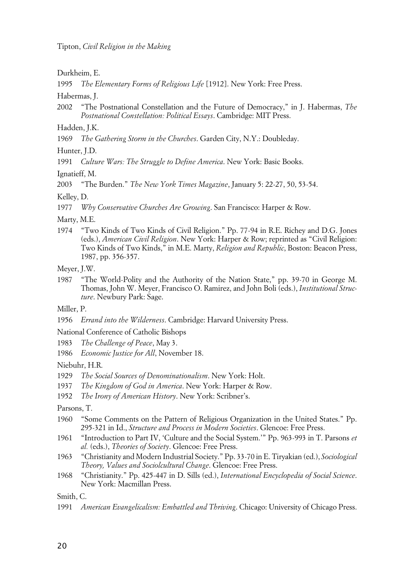Durkheim, E.

1995 *The Elementary Forms of Religious Life* [1912]. New York: Free Press.

Habermas, J.

2002 "The Postnational Constellation and the Future of Democracy," in J. Habermas, *The Postnational Constellation: Political Essays*. Cambridge: MIT Press.

Hadden, J.K.

1969 *The Gathering Storm in the Churches*. Garden City, N.Y.: Doubleday.

Hunter, J.D.

1991 *Culture Wars: The Struggle to Define America*. New York: Basic Books.

Ignatieff, M.

2003 "The Burden." *The New York Times Magazine*, January 5: 22-27, 50, 53-54.

Kelley, D.

- 1977 *Why Conservative Churches Are Growing*. San Francisco: Harper & Row.
- Marty, M.E.
- 1974 "Two Kinds of Two Kinds of Civil Religion." Pp. 77-94 in R.E. Richey and D.G. Jones (eds.), *American Civil Religion*. New York: Harper & Row; reprinted as "Civil Religion: Two Kinds of Two Kinds," in M.E. Marty, *Religion and Republic*, Boston: Beacon Press, 1987, pp. 356-357.
- Meyer, J.W.
- 1987 "The World-Polity and the Authority of the Nation State," pp. 39-70 in George M. Thomas, John W. Meyer, Francisco O. Ramirez, and John Boli (eds.), *Institutional Structure*. Newbury Park: Sage.

Miller, P.

1956 *Errand into the Wilderness*. Cambridge: Harvard University Press.

National Conference of Catholic Bishops

- 1983 *The Challenge of Peace*, May 3.
- 1986 *Economic Justice for All*, November 18.

Niebuhr, H.R.

- 1929 *The Social Sources of Denominationalism*. New York: Holt.
- 1937 *The Kingdom of God in America*. New York: Harper & Row.
- 1952 *The Irony of American History*. New York: Scribner's.

Parsons, T.

- 1960 "Some Comments on the Pattern of Religious Organization in the United States." Pp. 295-321 in Id., *Structure and Process in Modern Societies*. Glencoe: Free Press.
- 1961 "Introduction to Part IV, 'Culture and the Social System.'" Pp. 963-993 in T. Parsons *et al.* (eds.), *Theories of Society*. Glencoe: Free Press.
- 1963 "Christianity and Modern Industrial Society." Pp. 33-70 in E. Tiryakian (ed.), *Sociological Theory, Values and Sociolcultural Change*. Glencoe: Free Press.
- 1968 "Christianity." Pp. 425-447 in D. Sills (ed.), *International Encyclopedia of Social Science*. New York: Macmillan Press.

Smith, C.

1991 *American Evangelicalism: Embattled and Thriving*. Chicago: University of Chicago Press.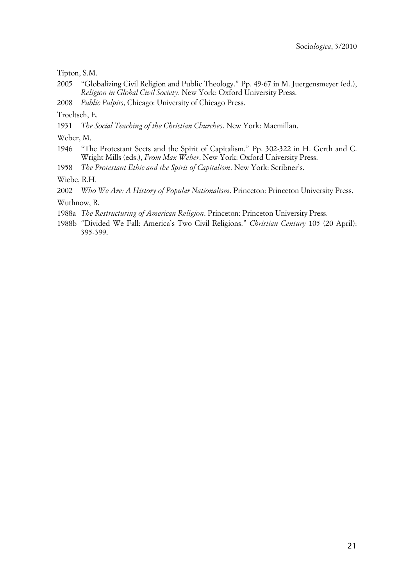Tipton, S.M.

- 2005 "Globalizing Civil Religion and Public Theology." Pp. 49-67 in M. Juergensmeyer (ed.), *Religion in Global Civil Society*. New York: Oxford University Press.
- 2008 *Public Pulpits*, Chicago: University of Chicago Press.

Troeltsch, E.

1931 *The Social Teaching of the Christian Churches*. New York: Macmillan.

Weber, M.

- 1946 "The Protestant Sects and the Spirit of Capitalism." Pp. 302-322 in H. Gerth and C. Wright Mills (eds.), *From Max Weber*. New York: Oxford University Press.
- 1958 *The Protestant Ethic and the Spirit of Capitalism*. New York: Scribner's.

Wiebe, R.H.

2002 *Who We Are: A History of Popular Nationalism*. Princeton: Princeton University Press.

Wuthnow, R.

1988a *The Restructuring of American Religion*. Princeton: Princeton University Press.

1988b "Divided We Fall: America's Two Civil Religions." *Christian Century* 105 (20 April): 395-399.